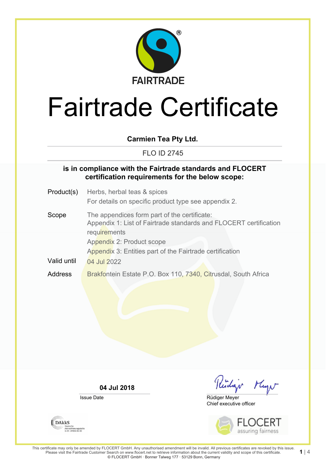

**Carmien Tea Pty Ltd.**

FLO ID 2745

## **is in compliance with the Fairtrade standards and FLOCERT certification requirements for the below scope:**

- Product(s) Herbs, herbal teas & spices For details on specific product type see appendix 2.
- Scope The appendices form part of the certificate: Appendix 1: List of Fairtrade standards and FLOCERT certification **requirements** Appendix 2: Product scope Appendix 3: Entities part of the Fairtrade certification Valid until  $\sqrt{04}$  Jul 2022 Address Brakfontein Estate P.O. Box 110, 7340, Citrusdal, South Africa

**04 Jul 2018**

Issue Date

**DAKKS** 

Akkreditierungsstelle<br>D-ZE-14408-01-00

Kidar Mayn

Chief executive officer Rüdiger Meyer



**1** | 4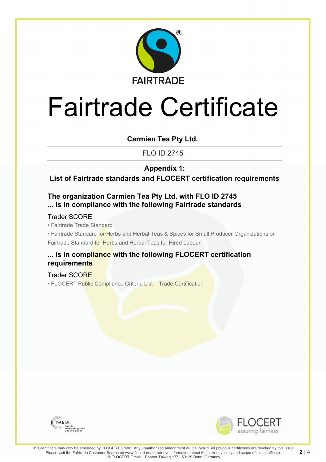

**Carmien Tea Pty Ltd.**

FLO ID 2745

**Appendix 1:**

**List of Fairtrade standards and FLOCERT certification requirements**

# **The organization Carmien Tea Pty Ltd. with FLO ID 2745 ... is in compliance with the following Fairtrade standards**

## Trader SCORE

• Fairtrade Trade Standard

• Fairtrade Standard for Herbs and Herbal Teas & Spices for Small Producer Organizations or Fairtrade Standard for Herbs and Herbal Teas for Hired Labour

## **... is in compliance with the following FLOCERT certification requirements**

### Trader SCORE

• FLOCERT Public Compliance Criteria List – Trade Certification



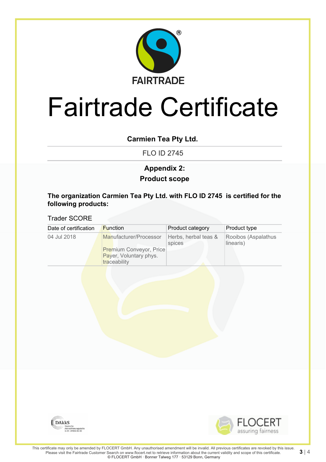

## **Carmien Tea Pty Ltd.**

FLO ID 2745

# **Product scope Appendix 2:**

### **The organization Carmien Tea Pty Ltd. with FLO ID 2745 is certified for the following products:**

### Trader SCORE

| Date of certification | <b>Function</b>                                                                                    | Product category               | Product type                     |
|-----------------------|----------------------------------------------------------------------------------------------------|--------------------------------|----------------------------------|
| 04 Jul 2018           | Manufacturer/Processor<br><b>Premium Conveyor, Price</b><br>Payer, Voluntary phys.<br>traceability | Herbs, herbal teas &<br>spices | Rooibos (Aspalathus<br>linearis) |